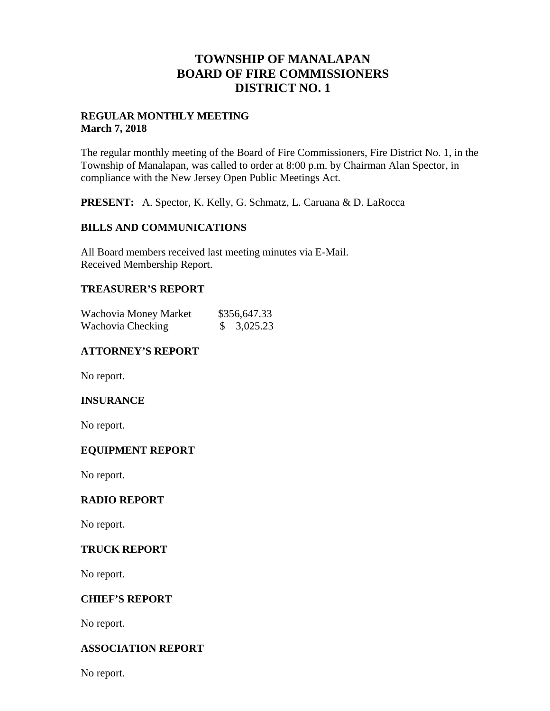## **TOWNSHIP OF MANALAPAN BOARD OF FIRE COMMISSIONERS DISTRICT NO. 1**

#### **REGULAR MONTHLY MEETING March 7, 2018**

The regular monthly meeting of the Board of Fire Commissioners, Fire District No. 1, in the Township of Manalapan, was called to order at 8:00 p.m. by Chairman Alan Spector, in compliance with the New Jersey Open Public Meetings Act.

**PRESENT:** A. Spector, K. Kelly, G. Schmatz, L. Caruana & D. LaRocca

## **BILLS AND COMMUNICATIONS**

All Board members received last meeting minutes via E-Mail. Received Membership Report.

## **TREASURER'S REPORT**

| Wachovia Money Market | \$356,647.33  |
|-----------------------|---------------|
| Wachovia Checking     | $\$ 3,025.23$ |

## **ATTORNEY'S REPORT**

No report.

#### **INSURANCE**

No report.

#### **EQUIPMENT REPORT**

No report.

#### **RADIO REPORT**

No report.

#### **TRUCK REPORT**

No report.

#### **CHIEF'S REPORT**

No report.

## **ASSOCIATION REPORT**

No report.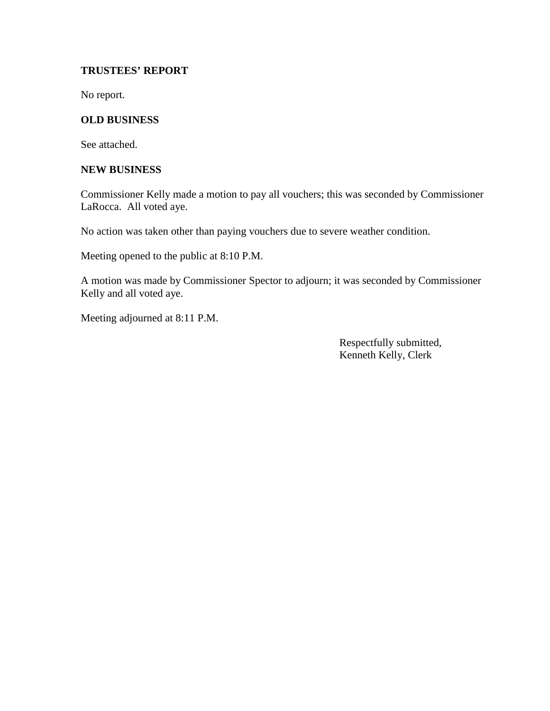## **TRUSTEES' REPORT**

No report.

## **OLD BUSINESS**

See attached.

#### **NEW BUSINESS**

Commissioner Kelly made a motion to pay all vouchers; this was seconded by Commissioner LaRocca. All voted aye.

No action was taken other than paying vouchers due to severe weather condition.

Meeting opened to the public at 8:10 P.M.

A motion was made by Commissioner Spector to adjourn; it was seconded by Commissioner Kelly and all voted aye.

Meeting adjourned at 8:11 P.M.

Respectfully submitted, Kenneth Kelly, Clerk